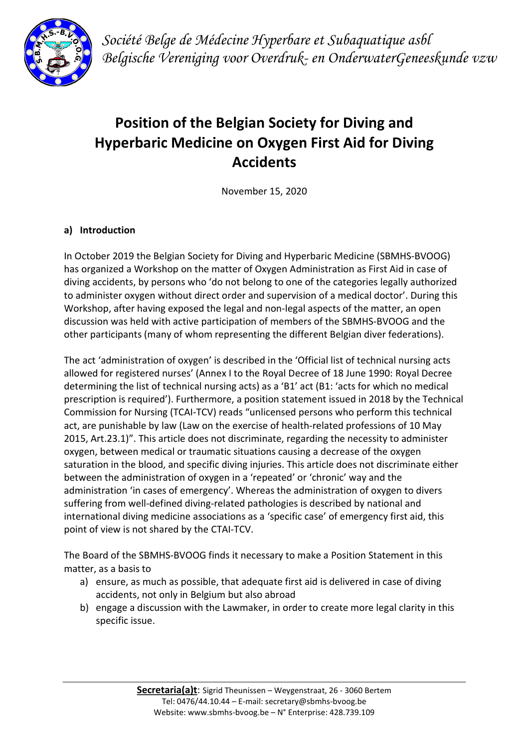

Société Belge de Médecine Hyperbare et Subaquatique asbl Belgische Vereniging voor Overdruk- en OnderwaterGeneeskunde vzw

# Position of the Belgian Society for Diving and Hyperbaric Medicine on Oxygen First Aid for Diving Accidents

November 15, 2020

## a) Introduction

In October 2019 the Belgian Society for Diving and Hyperbaric Medicine (SBMHS-BVOOG) has organized a Workshop on the matter of Oxygen Administration as First Aid in case of diving accidents, by persons who 'do not belong to one of the categories legally authorized to administer oxygen without direct order and supervision of a medical doctor'. During this Workshop, after having exposed the legal and non-legal aspects of the matter, an open discussion was held with active participation of members of the SBMHS-BVOOG and the other participants (many of whom representing the different Belgian diver federations).

The act 'administration of oxygen' is described in the 'Official list of technical nursing acts allowed for registered nurses' (Annex I to the Royal Decree of 18 June 1990: Royal Decree determining the list of technical nursing acts) as a 'B1' act (B1: 'acts for which no medical prescription is required'). Furthermore, a position statement issued in 2018 by the Technical Commission for Nursing (TCAI-TCV) reads "unlicensed persons who perform this technical act, are punishable by law (Law on the exercise of health-related professions of 10 May 2015, Art.23.1)". This article does not discriminate, regarding the necessity to administer oxygen, between medical or traumatic situations causing a decrease of the oxygen saturation in the blood, and specific diving injuries. This article does not discriminate either between the administration of oxygen in a 'repeated' or 'chronic' way and the administration 'in cases of emergency'. Whereas the administration of oxygen to divers suffering from well-defined diving-related pathologies is described by national and international diving medicine associations as a 'specific case' of emergency first aid, this point of view is not shared by the CTAI-TCV.

The Board of the SBMHS-BVOOG finds it necessary to make a Position Statement in this matter, as a basis to

- a) ensure, as much as possible, that adequate first aid is delivered in case of diving accidents, not only in Belgium but also abroad
- b) engage a discussion with the Lawmaker, in order to create more legal clarity in this specific issue.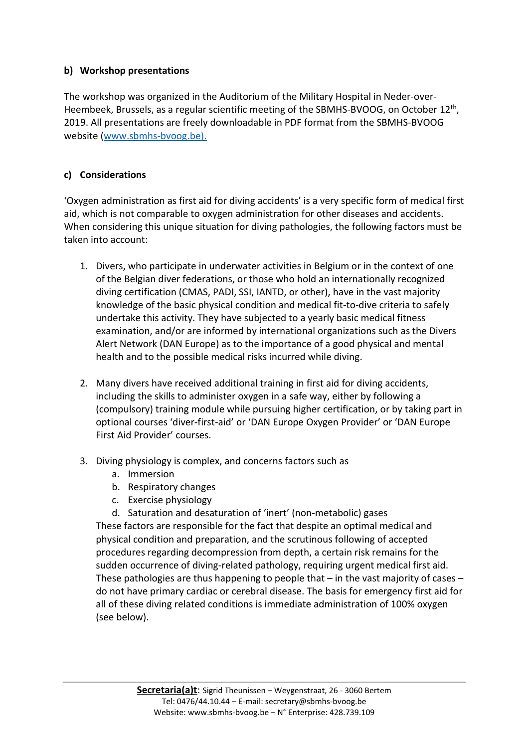#### b) Workshop presentations

The workshop was organized in the Auditorium of the Military Hospital in Neder-over-Heembeek, Brussels, as a regular scientific meeting of the SBMHS-BVOOG, on October 12<sup>th</sup>, 2019. All presentations are freely downloadable in PDF format from the SBMHS-BVOOG website (www.sbmhs-bvoog.be).

#### c) Considerations

'Oxygen administration as first aid for diving accidents' is a very specific form of medical first aid, which is not comparable to oxygen administration for other diseases and accidents. When considering this unique situation for diving pathologies, the following factors must be taken into account:

- 1. Divers, who participate in underwater activities in Belgium or in the context of one of the Belgian diver federations, or those who hold an internationally recognized diving certification (CMAS, PADI, SSI, IANTD, or other), have in the vast majority knowledge of the basic physical condition and medical fit-to-dive criteria to safely undertake this activity. They have subjected to a yearly basic medical fitness examination, and/or are informed by international organizations such as the Divers Alert Network (DAN Europe) as to the importance of a good physical and mental health and to the possible medical risks incurred while diving.
- 2. Many divers have received additional training in first aid for diving accidents, including the skills to administer oxygen in a safe way, either by following a (compulsory) training module while pursuing higher certification, or by taking part in optional courses 'diver-first-aid' or 'DAN Europe Oxygen Provider' or 'DAN Europe First Aid Provider' courses.
- 3. Diving physiology is complex, and concerns factors such as
	- a. Immersion
	- b. Respiratory changes
	- c. Exercise physiology
	- d. Saturation and desaturation of 'inert' (non-metabolic) gases

These factors are responsible for the fact that despite an optimal medical and physical condition and preparation, and the scrutinous following of accepted procedures regarding decompression from depth, a certain risk remains for the sudden occurrence of diving-related pathology, requiring urgent medical first aid. These pathologies are thus happening to people that  $-$  in the vast majority of cases  $$ do not have primary cardiac or cerebral disease. The basis for emergency first aid for all of these diving related conditions is immediate administration of 100% oxygen (see below).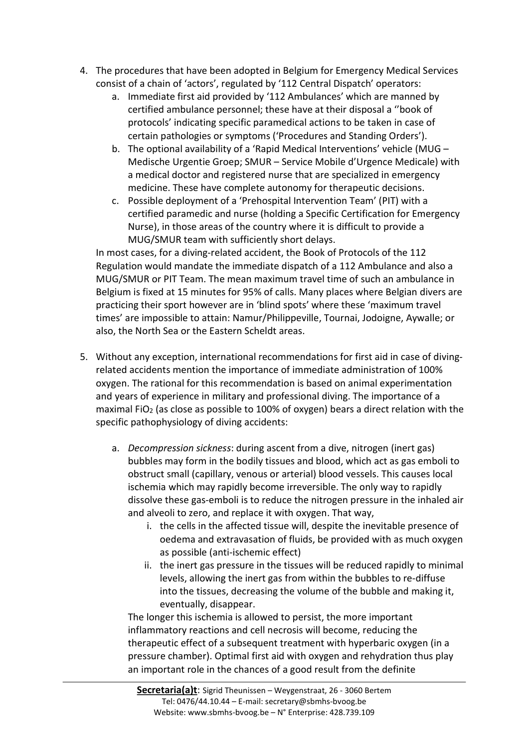- 4. The procedures that have been adopted in Belgium for Emergency Medical Services consist of a chain of 'actors', regulated by '112 Central Dispatch' operators:
	- a. Immediate first aid provided by '112 Ambulances' which are manned by certified ambulance personnel; these have at their disposal a ''book of protocols' indicating specific paramedical actions to be taken in case of certain pathologies or symptoms ('Procedures and Standing Orders').
	- b. The optional availability of a 'Rapid Medical Interventions' vehicle (MUG Medische Urgentie Groep; SMUR – Service Mobile d'Urgence Medicale) with a medical doctor and registered nurse that are specialized in emergency medicine. These have complete autonomy for therapeutic decisions.
	- c. Possible deployment of a 'Prehospital Intervention Team' (PIT) with a certified paramedic and nurse (holding a Specific Certification for Emergency Nurse), in those areas of the country where it is difficult to provide a MUG/SMUR team with sufficiently short delays.

In most cases, for a diving-related accident, the Book of Protocols of the 112 Regulation would mandate the immediate dispatch of a 112 Ambulance and also a MUG/SMUR or PIT Team. The mean maximum travel time of such an ambulance in Belgium is fixed at 15 minutes for 95% of calls. Many places where Belgian divers are practicing their sport however are in 'blind spots' where these 'maximum travel times' are impossible to attain: Namur/Philippeville, Tournai, Jodoigne, Aywalle; or also, the North Sea or the Eastern Scheldt areas.

- 5. Without any exception, international recommendations for first aid in case of divingrelated accidents mention the importance of immediate administration of 100% oxygen. The rational for this recommendation is based on animal experimentation and years of experience in military and professional diving. The importance of a maximal FiO<sub>2</sub> (as close as possible to  $100\%$  of oxygen) bears a direct relation with the specific pathophysiology of diving accidents:
	- a. Decompression sickness: during ascent from a dive, nitrogen (inert gas) bubbles may form in the bodily tissues and blood, which act as gas emboli to obstruct small (capillary, venous or arterial) blood vessels. This causes local ischemia which may rapidly become irreversible. The only way to rapidly dissolve these gas-emboli is to reduce the nitrogen pressure in the inhaled air and alveoli to zero, and replace it with oxygen. That way,
		- i. the cells in the affected tissue will, despite the inevitable presence of oedema and extravasation of fluids, be provided with as much oxygen as possible (anti-ischemic effect)
		- ii. the inert gas pressure in the tissues will be reduced rapidly to minimal levels, allowing the inert gas from within the bubbles to re-diffuse into the tissues, decreasing the volume of the bubble and making it, eventually, disappear.

The longer this ischemia is allowed to persist, the more important inflammatory reactions and cell necrosis will become, reducing the therapeutic effect of a subsequent treatment with hyperbaric oxygen (in a pressure chamber). Optimal first aid with oxygen and rehydration thus play an important role in the chances of a good result from the definite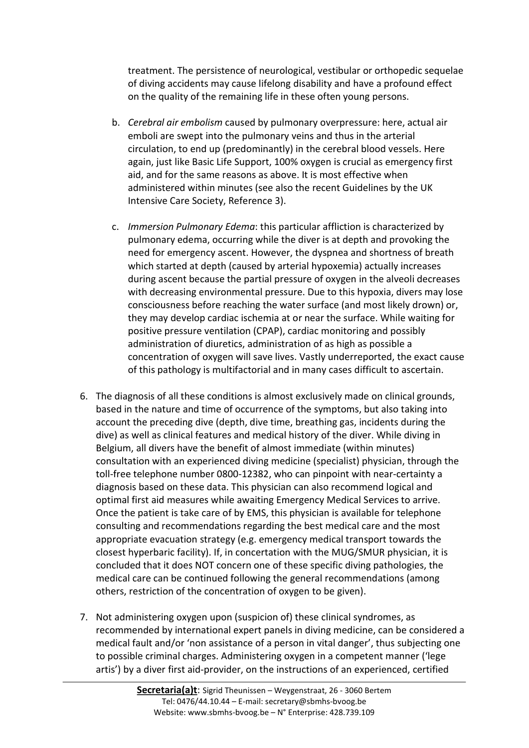treatment. The persistence of neurological, vestibular or orthopedic sequelae of diving accidents may cause lifelong disability and have a profound effect on the quality of the remaining life in these often young persons.

- b. Cerebral air embolism caused by pulmonary overpressure: here, actual air emboli are swept into the pulmonary veins and thus in the arterial circulation, to end up (predominantly) in the cerebral blood vessels. Here again, just like Basic Life Support, 100% oxygen is crucial as emergency first aid, and for the same reasons as above. It is most effective when administered within minutes (see also the recent Guidelines by the UK Intensive Care Society, Reference 3).
- c. Immersion Pulmonary Edema: this particular affliction is characterized by pulmonary edema, occurring while the diver is at depth and provoking the need for emergency ascent. However, the dyspnea and shortness of breath which started at depth (caused by arterial hypoxemia) actually increases during ascent because the partial pressure of oxygen in the alveoli decreases with decreasing environmental pressure. Due to this hypoxia, divers may lose consciousness before reaching the water surface (and most likely drown) or, they may develop cardiac ischemia at or near the surface. While waiting for positive pressure ventilation (CPAP), cardiac monitoring and possibly administration of diuretics, administration of as high as possible a concentration of oxygen will save lives. Vastly underreported, the exact cause of this pathology is multifactorial and in many cases difficult to ascertain.
- 6. The diagnosis of all these conditions is almost exclusively made on clinical grounds, based in the nature and time of occurrence of the symptoms, but also taking into account the preceding dive (depth, dive time, breathing gas, incidents during the dive) as well as clinical features and medical history of the diver. While diving in Belgium, all divers have the benefit of almost immediate (within minutes) consultation with an experienced diving medicine (specialist) physician, through the toll-free telephone number 0800-12382, who can pinpoint with near-certainty a diagnosis based on these data. This physician can also recommend logical and optimal first aid measures while awaiting Emergency Medical Services to arrive. Once the patient is take care of by EMS, this physician is available for telephone consulting and recommendations regarding the best medical care and the most appropriate evacuation strategy (e.g. emergency medical transport towards the closest hyperbaric facility). If, in concertation with the MUG/SMUR physician, it is concluded that it does NOT concern one of these specific diving pathologies, the medical care can be continued following the general recommendations (among others, restriction of the concentration of oxygen to be given).
- 7. Not administering oxygen upon (suspicion of) these clinical syndromes, as recommended by international expert panels in diving medicine, can be considered a medical fault and/or 'non assistance of a person in vital danger', thus subjecting one to possible criminal charges. Administering oxygen in a competent manner ('lege artis') by a diver first aid-provider, on the instructions of an experienced, certified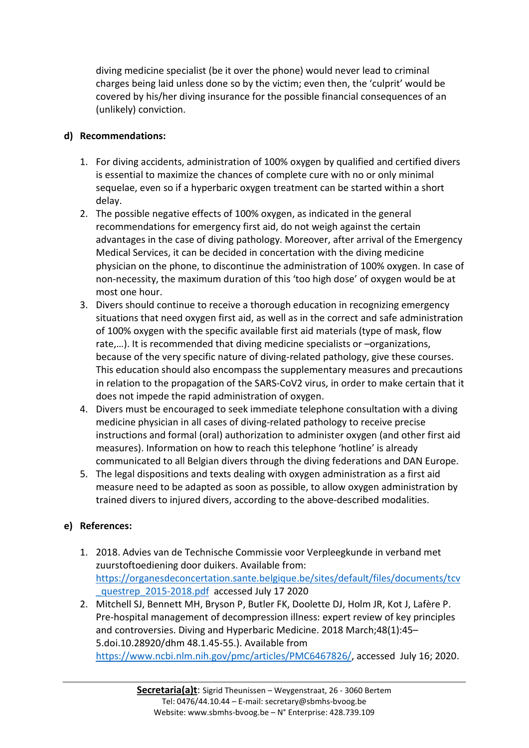diving medicine specialist (be it over the phone) would never lead to criminal charges being laid unless done so by the victim; even then, the 'culprit' would be covered by his/her diving insurance for the possible financial consequences of an (unlikely) conviction.

## d) Recommendations:

- 1. For diving accidents, administration of 100% oxygen by qualified and certified divers is essential to maximize the chances of complete cure with no or only minimal sequelae, even so if a hyperbaric oxygen treatment can be started within a short delay.
- 2. The possible negative effects of 100% oxygen, as indicated in the general recommendations for emergency first aid, do not weigh against the certain advantages in the case of diving pathology. Moreover, after arrival of the Emergency Medical Services, it can be decided in concertation with the diving medicine physician on the phone, to discontinue the administration of 100% oxygen. In case of non-necessity, the maximum duration of this 'too high dose' of oxygen would be at most one hour.
- 3. Divers should continue to receive a thorough education in recognizing emergency situations that need oxygen first aid, as well as in the correct and safe administration of 100% oxygen with the specific available first aid materials (type of mask, flow rate,…). It is recommended that diving medicine specialists or –organizations, because of the very specific nature of diving-related pathology, give these courses. This education should also encompass the supplementary measures and precautions in relation to the propagation of the SARS-CoV2 virus, in order to make certain that it does not impede the rapid administration of oxygen.
- 4. Divers must be encouraged to seek immediate telephone consultation with a diving medicine physician in all cases of diving-related pathology to receive precise instructions and formal (oral) authorization to administer oxygen (and other first aid measures). Information on how to reach this telephone 'hotline' is already communicated to all Belgian divers through the diving federations and DAN Europe.
- 5. The legal dispositions and texts dealing with oxygen administration as a first aid measure need to be adapted as soon as possible, to allow oxygen administration by trained divers to injured divers, according to the above-described modalities.

# e) References:

- 1. 2018. Advies van de Technische Commissie voor Verpleegkunde in verband met zuurstoftoediening door duikers. Available from: https://organesdeconcertation.sante.belgique.be/sites/default/files/documents/tcv questrep\_2015-2018.pdf accessed July 17 2020
- 2. Mitchell SJ, Bennett MH, Bryson P, Butler FK, Doolette DJ, Holm JR, Kot J, Lafère P. Pre-hospital management of decompression illness: expert review of key principles and controversies. Diving and Hyperbaric Medicine. 2018 March;48(1):45– 5.doi.10.28920/dhm 48.1.45-55.). Available from https://www.ncbi.nlm.nih.gov/pmc/articles/PMC6467826/, accessed July 16; 2020.